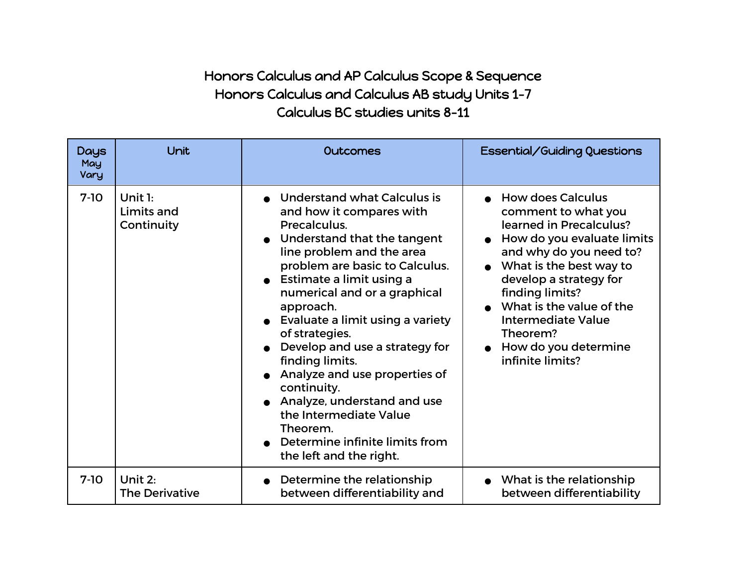## Honors Calculus and AP Calculus Scope & Sequence Honors Calculus and Calculus AB study Units 1-7 Calculus BC studies units 8-11

| <b>Days</b><br>May<br>Vary | Unit                                  | <b>Outcomes</b>                                                                                                                                                                                                                                                                                                                                                                                                                                                                                                                                      | Essential/Guiding Questions                                                                                                                                                                                                                                                                                           |
|----------------------------|---------------------------------------|------------------------------------------------------------------------------------------------------------------------------------------------------------------------------------------------------------------------------------------------------------------------------------------------------------------------------------------------------------------------------------------------------------------------------------------------------------------------------------------------------------------------------------------------------|-----------------------------------------------------------------------------------------------------------------------------------------------------------------------------------------------------------------------------------------------------------------------------------------------------------------------|
| $7-10$                     | Unit $1:$<br>Limits and<br>Continuity | <b>Understand what Calculus is</b><br>and how it compares with<br>Precalculus.<br>Understand that the tangent<br>line problem and the area<br>problem are basic to Calculus.<br>• Estimate a limit using a<br>numerical and or a graphical<br>approach.<br>Evaluate a limit using a variety<br>of strategies.<br>Develop and use a strategy for<br>finding limits.<br>Analyze and use properties of<br>continuity.<br>Analyze, understand and use<br>the Intermediate Value<br>Theorem.<br>Determine infinite limits from<br>the left and the right. | <b>How does Calculus</b><br>comment to what you<br>learned in Precalculus?<br>How do you evaluate limits<br>and why do you need to?<br>What is the best way to<br>develop a strategy for<br>finding limits?<br>What is the value of the<br>Intermediate Value<br>Theorem?<br>How do you determine<br>infinite limits? |
| $7-10$                     | Unit 2:<br><b>The Derivative</b>      | Determine the relationship<br>between differentiability and                                                                                                                                                                                                                                                                                                                                                                                                                                                                                          | • What is the relationship<br>between differentiability                                                                                                                                                                                                                                                               |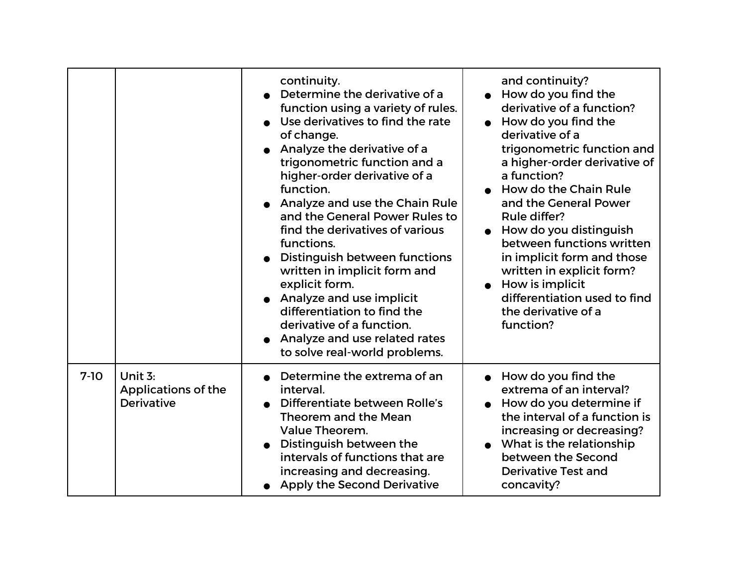|        |                                                            | continuity.<br>Determine the derivative of a<br>function using a variety of rules.<br>Use derivatives to find the rate<br>of change.<br>Analyze the derivative of a<br>trigonometric function and a<br>higher-order derivative of a<br>function.<br>Analyze and use the Chain Rule<br>and the General Power Rules to<br>find the derivatives of various<br>functions.<br>Distinguish between functions<br>written in implicit form and<br>explicit form.<br>Analyze and use implicit<br>differentiation to find the<br>derivative of a function.<br>Analyze and use related rates<br>to solve real-world problems. | and continuity?<br>How do you find the<br>derivative of a function?<br>How do you find the<br>derivative of a<br>trigonometric function and<br>a higher-order derivative of<br>a function?<br>How do the Chain Rule<br>and the General Power<br>Rule differ?<br>How do you distinguish<br>between functions written<br>in implicit form and those<br>written in explicit form?<br>How is implicit<br>differentiation used to find<br>the derivative of a<br>function? |
|--------|------------------------------------------------------------|--------------------------------------------------------------------------------------------------------------------------------------------------------------------------------------------------------------------------------------------------------------------------------------------------------------------------------------------------------------------------------------------------------------------------------------------------------------------------------------------------------------------------------------------------------------------------------------------------------------------|-----------------------------------------------------------------------------------------------------------------------------------------------------------------------------------------------------------------------------------------------------------------------------------------------------------------------------------------------------------------------------------------------------------------------------------------------------------------------|
| $7-10$ | Unit 3:<br><b>Applications of the</b><br><b>Derivative</b> | Determine the extrema of an<br>interval.<br>Differentiate between Rolle's<br>Theorem and the Mean<br><b>Value Theorem.</b><br>Distinguish between the<br>intervals of functions that are<br>increasing and decreasing.<br><b>Apply the Second Derivative</b>                                                                                                                                                                                                                                                                                                                                                       | How do you find the<br>extrema of an interval?<br>How do you determine if<br>the interval of a function is<br>increasing or decreasing?<br>What is the relationship<br>between the Second<br><b>Derivative Test and</b><br>concavity?                                                                                                                                                                                                                                 |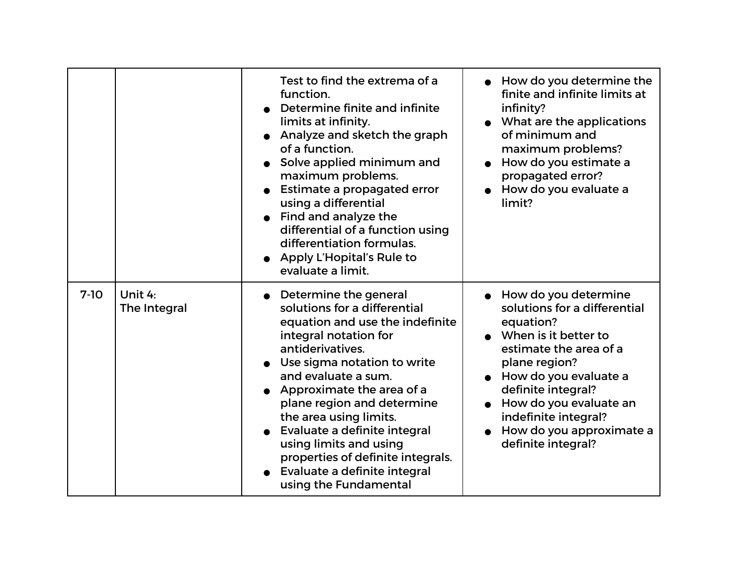|        |                         | Test to find the extrema of a<br>function.<br>Determine finite and infinite<br>limits at infinity.<br>Analyze and sketch the graph<br>of a function.<br>Solve applied minimum and<br>maximum problems.<br>Estimate a propagated error<br>using a differential<br>Find and analyze the<br>differential of a function using<br>differentiation formulas.<br>• Apply L'Hopital's Rule to<br>evaluate a limit.                               | How do you determine the<br>finite and infinite limits at<br>infinity?<br>What are the applications<br>of minimum and<br>maximum problems?<br>How do you estimate a<br>propagated error?<br>How do you evaluate a<br>limit?                                                                 |
|--------|-------------------------|------------------------------------------------------------------------------------------------------------------------------------------------------------------------------------------------------------------------------------------------------------------------------------------------------------------------------------------------------------------------------------------------------------------------------------------|---------------------------------------------------------------------------------------------------------------------------------------------------------------------------------------------------------------------------------------------------------------------------------------------|
| $7-10$ | Unit 4:<br>The Integral | Determine the general<br>solutions for a differential<br>equation and use the indefinite<br>integral notation for<br>antiderivatives.<br>Use sigma notation to write<br>and evaluate a sum.<br>Approximate the area of a<br>plane region and determine<br>the area using limits.<br>Evaluate a definite integral<br>using limits and using<br>properties of definite integrals.<br>Evaluate a definite integral<br>using the Fundamental | • How do you determine<br>solutions for a differential<br>equation?<br>• When is it better to<br>estimate the area of a<br>plane region?<br>How do you evaluate a<br>definite integral?<br>How do you evaluate an<br>indefinite integral?<br>How do you approximate a<br>definite integral? |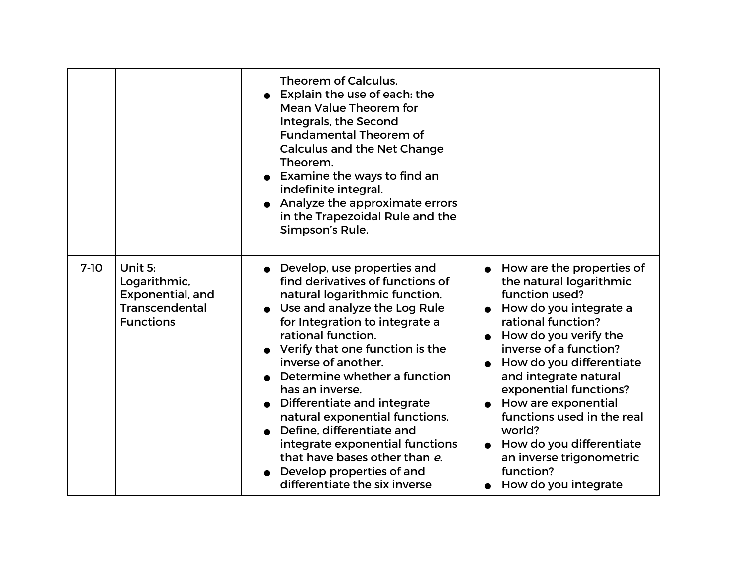|        |                                                                                                 | Theorem of Calculus.<br>Explain the use of each: the<br><b>Mean Value Theorem for</b><br>Integrals, the Second<br><b>Fundamental Theorem of</b><br><b>Calculus and the Net Change</b><br>Theorem.<br>Examine the ways to find an<br>indefinite integral.<br>Analyze the approximate errors<br>in the Trapezoidal Rule and the<br>Simpson's Rule.                                                                                                                                                                                      |                                                                                                                                                                                                                                                                                                                                                                                                                        |
|--------|-------------------------------------------------------------------------------------------------|---------------------------------------------------------------------------------------------------------------------------------------------------------------------------------------------------------------------------------------------------------------------------------------------------------------------------------------------------------------------------------------------------------------------------------------------------------------------------------------------------------------------------------------|------------------------------------------------------------------------------------------------------------------------------------------------------------------------------------------------------------------------------------------------------------------------------------------------------------------------------------------------------------------------------------------------------------------------|
| $7-10$ | Unit 5:<br>Logarithmic,<br><b>Exponential, and</b><br><b>Transcendental</b><br><b>Functions</b> | Develop, use properties and<br>find derivatives of functions of<br>natural logarithmic function.<br>Use and analyze the Log Rule<br>for Integration to integrate a<br>rational function.<br>Verify that one function is the<br>inverse of another.<br>Determine whether a function<br>has an inverse.<br>Differentiate and integrate<br>natural exponential functions.<br>Define, differentiate and<br>integrate exponential functions<br>that have bases other than e.<br>Develop properties of and<br>differentiate the six inverse | How are the properties of<br>the natural logarithmic<br>function used?<br>How do you integrate a<br>rational function?<br>How do you verify the<br>inverse of a function?<br>How do you differentiate<br>and integrate natural<br>exponential functions?<br>How are exponential<br>functions used in the real<br>world?<br>• How do you differentiate<br>an inverse trigonometric<br>function?<br>How do you integrate |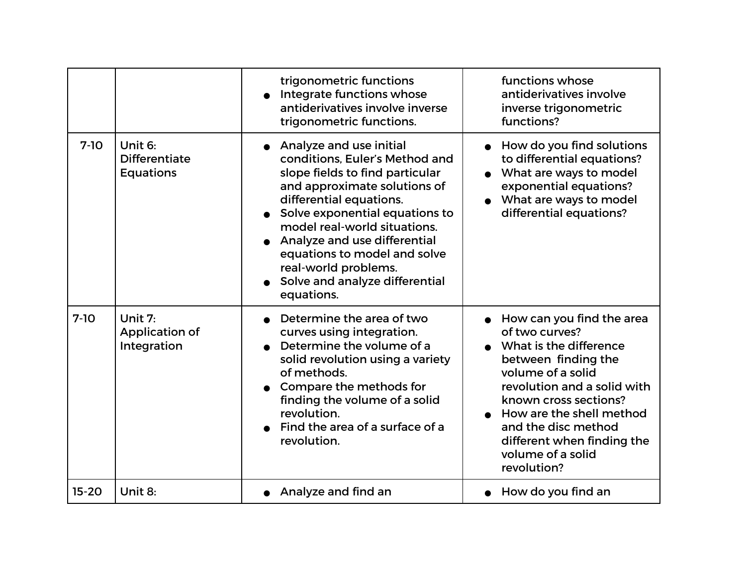|           |                                                     | trigonometric functions<br>Integrate functions whose<br>antiderivatives involve inverse<br>trigonometric functions.                                                                                                                                                                                                                                               | functions whose<br>antiderivatives involve<br>inverse trigonometric<br>functions?                                                                                                                                                                                                              |
|-----------|-----------------------------------------------------|-------------------------------------------------------------------------------------------------------------------------------------------------------------------------------------------------------------------------------------------------------------------------------------------------------------------------------------------------------------------|------------------------------------------------------------------------------------------------------------------------------------------------------------------------------------------------------------------------------------------------------------------------------------------------|
| $7-10$    | Unit 6:<br><b>Differentiate</b><br><b>Equations</b> | Analyze and use initial<br>conditions. Euler's Method and<br>slope fields to find particular<br>and approximate solutions of<br>differential equations.<br>Solve exponential equations to<br>model real-world situations.<br>Analyze and use differential<br>equations to model and solve<br>real-world problems.<br>Solve and analyze differential<br>equations. | How do you find solutions<br>to differential equations?<br>What are ways to model<br>exponential equations?<br>• What are ways to model<br>differential equations?                                                                                                                             |
| $7-10$    | Unit $7:$<br><b>Application of</b><br>Integration   | Determine the area of two<br>curves using integration.<br>Determine the volume of a<br>solid revolution using a variety<br>of methods.<br>Compare the methods for<br>finding the volume of a solid<br>revolution.<br>Find the area of a surface of a<br>revolution.                                                                                               | How can you find the area<br>of two curves?<br>What is the difference<br>between finding the<br>volume of a solid<br>revolution and a solid with<br>known cross sections?<br>How are the shell method<br>and the disc method<br>different when finding the<br>volume of a solid<br>revolution? |
| $15 - 20$ | Unit 8:                                             | Analyze and find an                                                                                                                                                                                                                                                                                                                                               | How do you find an                                                                                                                                                                                                                                                                             |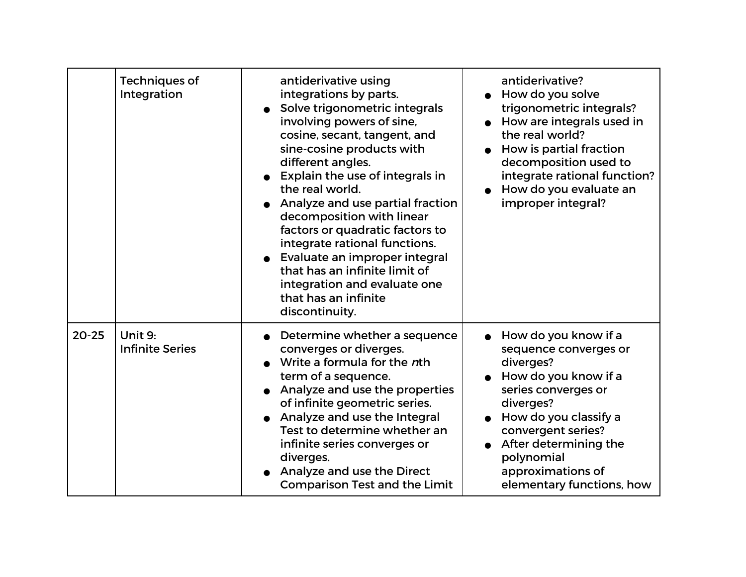|           | <b>Techniques of</b><br>Integration | antiderivative using<br>integrations by parts.<br>Solve trigonometric integrals<br>involving powers of sine,<br>cosine, secant, tangent, and<br>sine-cosine products with<br>different angles.<br>Explain the use of integrals in<br>the real world.<br>Analyze and use partial fraction<br>decomposition with linear<br>factors or quadratic factors to<br>integrate rational functions.<br>Evaluate an improper integral<br>that has an infinite limit of<br>integration and evaluate one<br>that has an infinite<br>discontinuity. | antiderivative?<br>How do you solve<br>trigonometric integrals?<br>How are integrals used in<br>the real world?<br>How is partial fraction<br>decomposition used to<br>integrate rational function?<br>How do you evaluate an<br>improper integral?            |
|-----------|-------------------------------------|---------------------------------------------------------------------------------------------------------------------------------------------------------------------------------------------------------------------------------------------------------------------------------------------------------------------------------------------------------------------------------------------------------------------------------------------------------------------------------------------------------------------------------------|----------------------------------------------------------------------------------------------------------------------------------------------------------------------------------------------------------------------------------------------------------------|
| $20 - 25$ | Unit 9:<br><b>Infinite Series</b>   | Determine whether a sequence<br>converges or diverges.<br>Write a formula for the nth<br>term of a sequence.<br>Analyze and use the properties<br>of infinite geometric series.<br>Analyze and use the Integral<br>Test to determine whether an<br>infinite series converges or<br>diverges.<br>Analyze and use the Direct<br><b>Comparison Test and the Limit</b>                                                                                                                                                                    | How do you know if a<br>sequence converges or<br>diverges?<br>How do you know if a<br>series converges or<br>diverges?<br>How do you classify a<br>convergent series?<br>After determining the<br>polynomial<br>approximations of<br>elementary functions, how |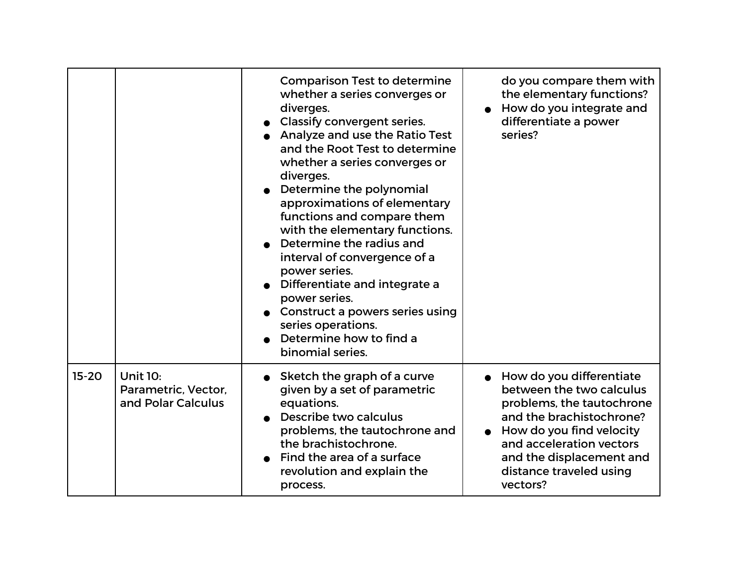|         |                                                              | <b>Comparison Test to determine</b><br>whether a series converges or<br>diverges.<br><b>Classify convergent series.</b><br>Analyze and use the Ratio Test<br>and the Root Test to determine<br>whether a series converges or<br>diverges.<br>Determine the polynomial<br>approximations of elementary<br>functions and compare them<br>with the elementary functions.<br>Determine the radius and<br>interval of convergence of a<br>power series.<br>Differentiate and integrate a<br>power series.<br>Construct a powers series using<br>series operations.<br>Determine how to find a<br>binomial series. | do you compare them with<br>the elementary functions?<br>How do you integrate and<br>differentiate a power<br>series?                                                                                                                    |
|---------|--------------------------------------------------------------|--------------------------------------------------------------------------------------------------------------------------------------------------------------------------------------------------------------------------------------------------------------------------------------------------------------------------------------------------------------------------------------------------------------------------------------------------------------------------------------------------------------------------------------------------------------------------------------------------------------|------------------------------------------------------------------------------------------------------------------------------------------------------------------------------------------------------------------------------------------|
| $15-20$ | <b>Unit 10:</b><br>Parametric, Vector,<br>and Polar Calculus | Sketch the graph of a curve<br>given by a set of parametric<br>equations.<br>Describe two calculus<br>problems, the tautochrone and<br>the brachistochrone.<br>Find the area of a surface<br>revolution and explain the<br>process.                                                                                                                                                                                                                                                                                                                                                                          | How do you differentiate<br>between the two calculus<br>problems, the tautochrone<br>and the brachistochrone?<br>How do you find velocity<br>and acceleration vectors<br>and the displacement and<br>distance traveled using<br>vectors? |